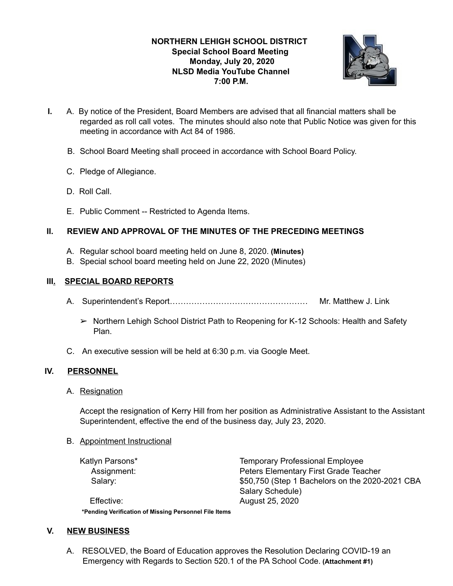## **NORTHERN LEHIGH SCHOOL DISTRICT Special School Board Meeting Monday, July 20, 2020 NLSD Media YouTube Channel 7:00 P.M.**



- **I.** A. By notice of the President, Board Members are advised that all financial matters shall be regarded as roll call votes. The minutes should also note that Public Notice was given for this meeting in accordance with Act 84 of 1986.
	- B. School Board Meeting shall proceed in accordance with School Board Policy.
	- C. Pledge of Allegiance.
	- D. Roll Call.
	- E. Public Comment -- Restricted to Agenda Items.

# **II. REVIEW AND APPROVAL OF THE MINUTES OF THE PRECEDING MEETINGS**

- A. Regular school board meeting held on June 8, 2020. **(Minutes)**
- B. Special school board meeting held on June 22, 2020 (Minutes)

#### **III. SPECIAL BOARD REPORTS**

- A. Superintendent's Report…………………………………………… Mr. Matthew J. Link
	- ➢ Northern Lehigh School District Path to Reopening for K-12 Schools: Health and Safety Plan.
- C. An executive session will be held at 6:30 p.m. via Google Meet.

# **IV. PERSONNEL**

A. Resignation

Accept the resignation of Kerry Hill from her position as Administrative Assistant to the Assistant Superintendent, effective the end of the business day, July 23, 2020.

B. Appointment Instructional

Katlyn Parsons\* Temporary Professional Employee Assignment: Peters Elementary First Grade Teacher Salary:  $$50,750$  (Step 1 Bachelors on the 2020-2021 CBA Salary Schedule)

Effective: August 25, 2020 **\*Pending Verification of Missing Personnel File Items**

#### **V. NEW BUSINESS**

A. RESOLVED, the Board of Education approves the Resolution Declaring COVID-19 an Emergency with Regards to Section 520.1 of the PA School Code. **(Attachment #1)**